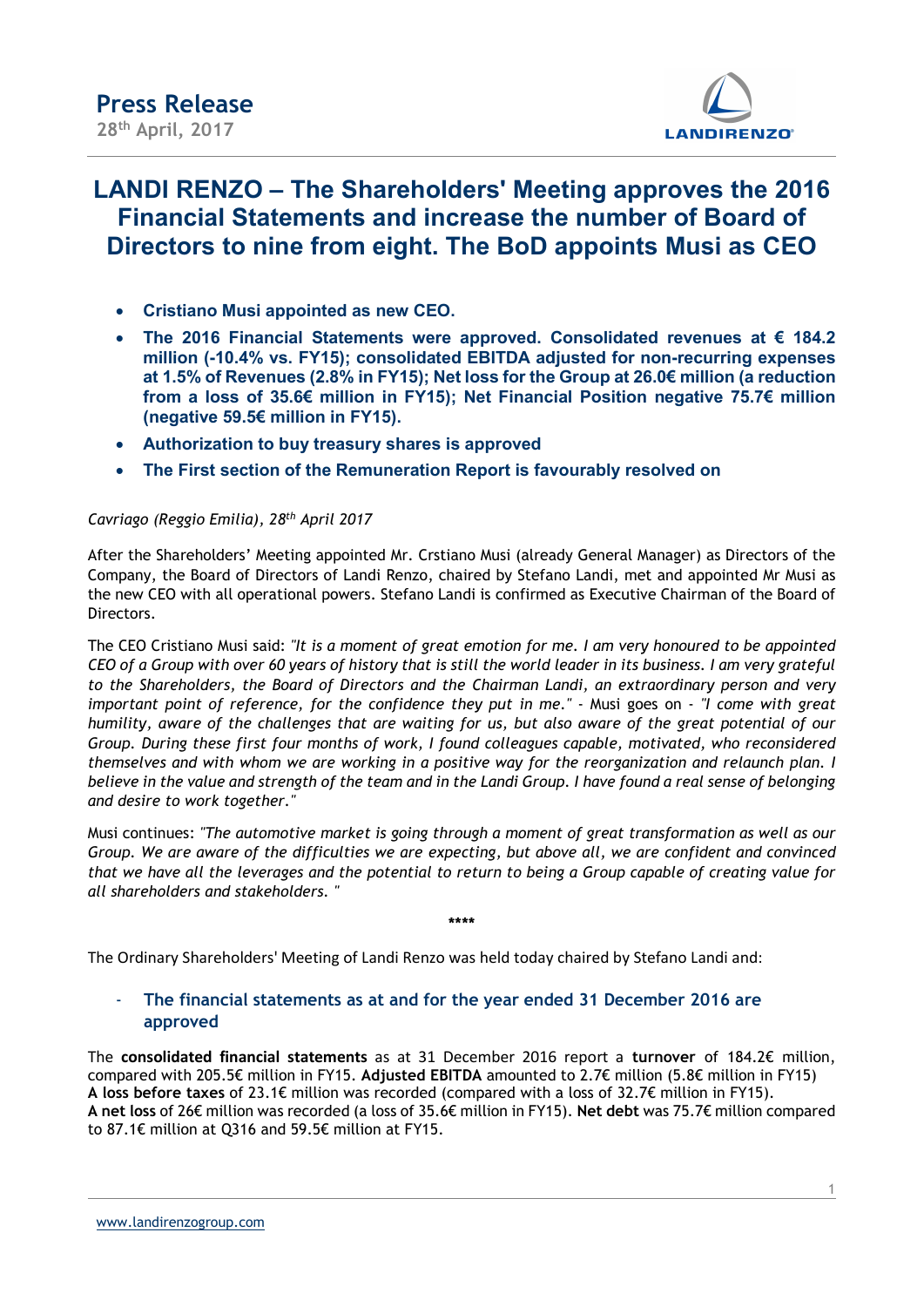

# LANDI RENZO – The Shareholders' Meeting approves the 2016 Financial Statements and increase the number of Board of Directors to nine from eight. The BoD appoints Musi as CEO

- Cristiano Musi appointed as new CEO.
- The 2016 Financial Statements were approved. Consolidated revenues at € 184.2 million (-10.4% vs. FY15); consolidated EBITDA adjusted for non-recurring expenses at 1.5% of Revenues (2.8% in FY15); Net loss for the Group at 26.0€ million (a reduction from a loss of 35.6€ million in FY15); Net Financial Position negative 75.7€ million (negative 59.5€ million in FY15).
- Authorization to buy treasury shares is approved
- The First section of the Remuneration Report is favourably resolved on

#### Cavriago (Reggio Emilia), 28th April 2017

After the Shareholders' Meeting appointed Mr. Crstiano Musi (already General Manager) as Directors of the Company, the Board of Directors of Landi Renzo, chaired by Stefano Landi, met and appointed Mr Musi as the new CEO with all operational powers. Stefano Landi is confirmed as Executive Chairman of the Board of Directors.

The CEO Cristiano Musi said: "It is a moment of great emotion for me. I am very honoured to be appointed CEO of a Group with over 60 years of history that is still the world leader in its business. I am very grateful to the Shareholders, the Board of Directors and the Chairman Landi, an extraordinary person and very important point of reference, for the confidence they put in me." - Musi goes on - "I come with great humility, aware of the challenges that are waiting for us, but also aware of the great potential of our Group. During these first four months of work, I found colleagues capable, motivated, who reconsidered themselves and with whom we are working in a positive way for the reorganization and relaunch plan. I believe in the value and strength of the team and in the Landi Group. I have found a real sense of belonging and desire to work together."

Musi continues: "The automotive market is going through a moment of great transformation as well as our Group. We are aware of the difficulties we are expecting, but above all, we are confident and convinced that we have all the leverages and the potential to return to being a Group capable of creating value for all shareholders and stakeholders. "

\*\*\*\*

The Ordinary Shareholders' Meeting of Landi Renzo was held today chaired by Stefano Landi and:

# The financial statements as at and for the year ended 31 December 2016 are approved

The consolidated financial statements as at 31 December 2016 report a turnover of 184.2€ million, compared with 205.5€ million in FY15. Adjusted EBITDA amounted to 2.7€ million (5.8€ million in FY15) A loss before taxes of 23.1€ million was recorded (compared with a loss of 32.7€ million in FY15). A net loss of 26€ million was recorded (a loss of 35.6€ million in FY15). Net debt was 75.7€ million compared to 87.1€ million at Q316 and 59.5€ million at FY15.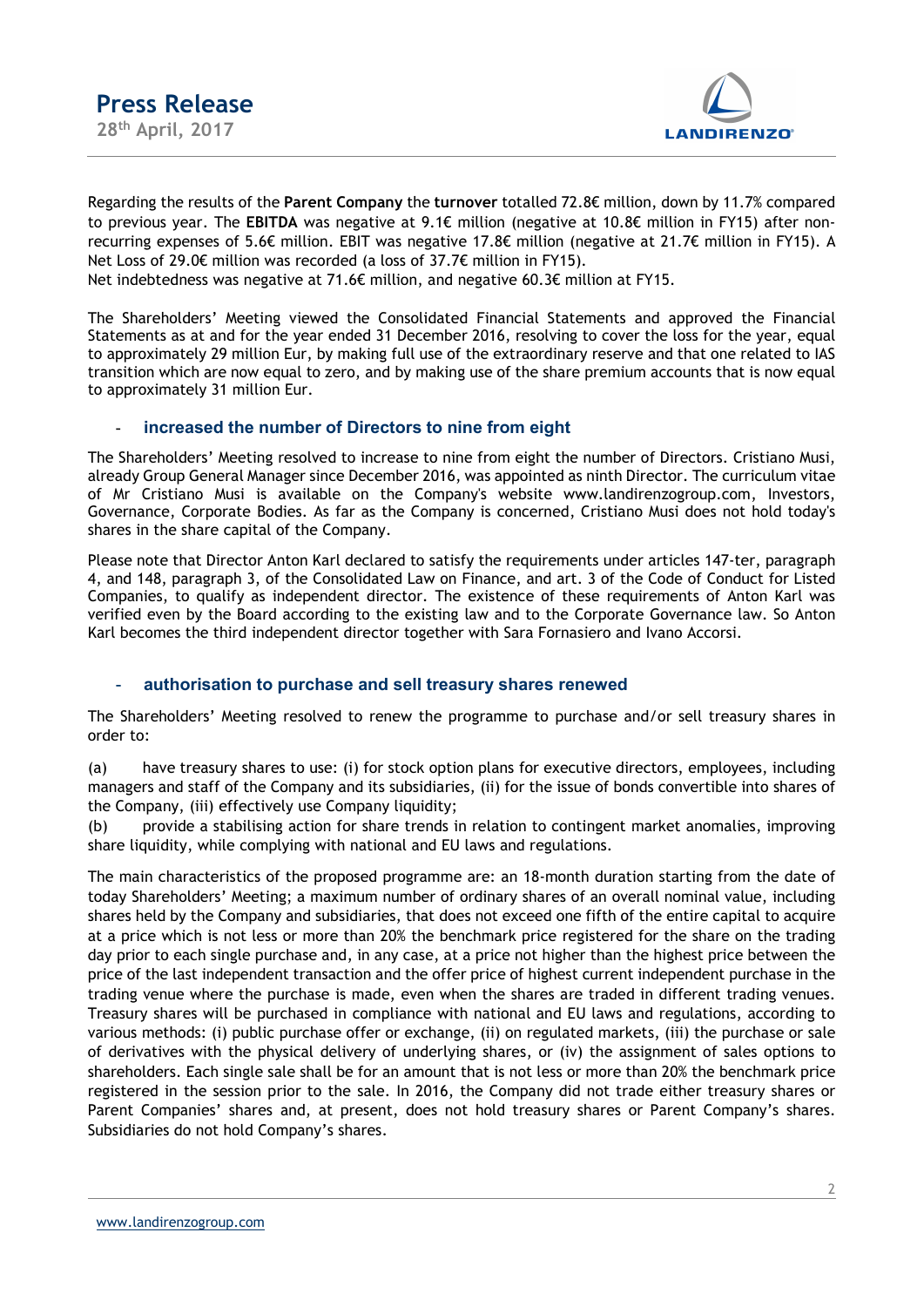

Regarding the results of the Parent Company the turnover totalled 72.8€ million, down by 11.7% compared to previous year. The EBITDA was negative at 9.1€ million (negative at 10.8€ million in FY15) after nonrecurring expenses of 5.6€ million. EBIT was negative 17.8€ million (negative at 21.7€ million in FY15). A Net Loss of 29.0€ million was recorded (a loss of 37.7€ million in FY15).

Net indebtedness was negative at 71.6€ million, and negative 60.3€ million at FY15.

The Shareholders' Meeting viewed the Consolidated Financial Statements and approved the Financial Statements as at and for the year ended 31 December 2016, resolving to cover the loss for the year, equal to approximately 29 million Eur, by making full use of the extraordinary reserve and that one related to IAS transition which are now equal to zero, and by making use of the share premium accounts that is now equal to approximately 31 million Eur.

## increased the number of Directors to nine from eight

The Shareholders' Meeting resolved to increase to nine from eight the number of Directors. Cristiano Musi, already Group General Manager since December 2016, was appointed as ninth Director. The curriculum vitae of Mr Cristiano Musi is available on the Company's website www.landirenzogroup.com, Investors, Governance, Corporate Bodies. As far as the Company is concerned, Cristiano Musi does not hold today's shares in the share capital of the Company.

Please note that Director Anton Karl declared to satisfy the requirements under articles 147-ter, paragraph 4, and 148, paragraph 3, of the Consolidated Law on Finance, and art. 3 of the Code of Conduct for Listed Companies, to qualify as independent director. The existence of these requirements of Anton Karl was verified even by the Board according to the existing law and to the Corporate Governance law. So Anton Karl becomes the third independent director together with Sara Fornasiero and Ivano Accorsi.

## authorisation to purchase and sell treasury shares renewed

The Shareholders' Meeting resolved to renew the programme to purchase and/or sell treasury shares in order to:

(a) have treasury shares to use: (i) for stock option plans for executive directors, employees, including managers and staff of the Company and its subsidiaries, (ii) for the issue of bonds convertible into shares of the Company, (iii) effectively use Company liquidity;

(b) provide a stabilising action for share trends in relation to contingent market anomalies, improving share liquidity, while complying with national and EU laws and regulations.

The main characteristics of the proposed programme are: an 18-month duration starting from the date of today Shareholders' Meeting; a maximum number of ordinary shares of an overall nominal value, including shares held by the Company and subsidiaries, that does not exceed one fifth of the entire capital to acquire at a price which is not less or more than 20% the benchmark price registered for the share on the trading day prior to each single purchase and, in any case, at a price not higher than the highest price between the price of the last independent transaction and the offer price of highest current independent purchase in the trading venue where the purchase is made, even when the shares are traded in different trading venues. Treasury shares will be purchased in compliance with national and EU laws and regulations, according to various methods: (i) public purchase offer or exchange, (ii) on regulated markets, (iii) the purchase or sale of derivatives with the physical delivery of underlying shares, or (iv) the assignment of sales options to shareholders. Each single sale shall be for an amount that is not less or more than 20% the benchmark price registered in the session prior to the sale. In 2016, the Company did not trade either treasury shares or Parent Companies' shares and, at present, does not hold treasury shares or Parent Company's shares. Subsidiaries do not hold Company's shares.